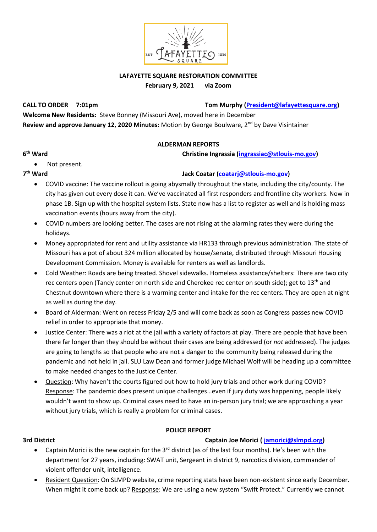

## **LAFAYETTE SQUARE RESTORATION COMMITTEE February 9, 2021 via Zoom**

**CALL TO ORDER 7:01pm Tom Murphy [\(President@lafayettesquare.org\)](mailto:President@lafayettesquare.org)** 

**Welcome New Residents:** Steve Bonney (Missouri Ave), moved here in December **Review and approve January 12, 2020 Minutes:** Motion by George Boulware, 2nd by Dave Visintainer

## **ALDERMAN REPORTS**

**christine Ingrassia [\(ingrassiac@stlouis-mo.gov\)](mailto:ingrassiac@stlouis-mo.gov)** 

• Not present.

## 7<sup>th</sup> Ward

**6**

# **th Ward Jack Coatar [\(coatarj@stlouis-mo.gov\)](mailto:coatarj@stlouis-mo.gov)**

- COVID vaccine: The vaccine rollout is going abysmally throughout the state, including the city/county. The city has given out every dose it can. We've vaccinated all first responders and frontline city workers. Now in phase 1B. Sign up with the hospital system lists. State now has a list to register as well and is holding mass vaccination events (hours away from the city).
- COVID numbers are looking better. The cases are not rising at the alarming rates they were during the holidays.
- Money appropriated for rent and utility assistance via HR133 through previous administration. The state of Missouri has a pot of about 324 million allocated by house/senate, distributed through Missouri Housing Development Commission. Money is available for renters as well as landlords.
- Cold Weather: Roads are being treated. Shovel sidewalks. Homeless assistance/shelters: There are two city rec centers open (Tandy center on north side and Cherokee rec center on south side); get to 13<sup>th</sup> and Chestnut downtown where there is a warming center and intake for the rec centers. They are open at night as well as during the day.
- Board of Alderman: Went on recess Friday 2/5 and will come back as soon as Congress passes new COVID relief in order to appropriate that money.
- Justice Center: There was a riot at the jail with a variety of factors at play. There are people that have been there far longer than they should be without their cases are being addressed (or *not* addressed). The judges are going to lengths so that people who are not a danger to the community being released during the pandemic and not held in jail. SLU Law Dean and former judge Michael Wolf will be heading up a committee to make needed changes to the Justice Center.
- Question: Why haven't the courts figured out how to hold jury trials and other work during COVID? Response: The pandemic does present unique challenges…even if jury duty was happening, people likely wouldn't want to show up. Criminal cases need to have an in-person jury trial; we are approaching a year without jury trials, which is really a problem for criminal cases.

### **POLICE REPORT**

# **3rd District Captain Joe Morici ( [jamorici@slmpd.org\)](mailto:jamorici@slmpd.org)**

- Captain Morici is the new captain for the  $3^{rd}$  district (as of the last four months). He's been with the department for 27 years, including: SWAT unit, Sergeant in district 9, narcotics division, commander of violent offender unit, intelligence.
- Resident Question: On SLMPD website, crime reporting stats have been non-existent since early December. When might it come back up? Response: We are using a new system "Swift Protect." Currently we cannot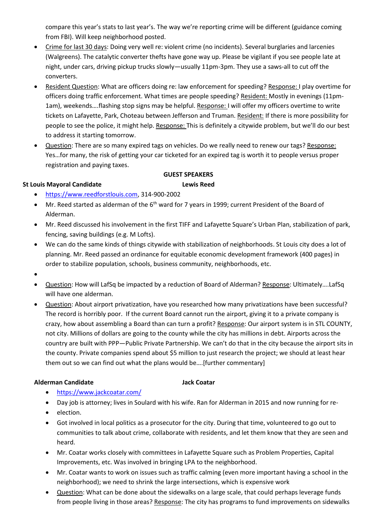compare this year's stats to last year's. The way we're reporting crime will be different (guidance coming from FBI). Will keep neighborhood posted.

- Crime for last 30 days: Doing very well re: violent crime (no incidents). Several burglaries and larcenies (Walgreens). The catalytic converter thefts have gone way up. Please be vigilant if you see people late at night, under cars, driving pickup trucks slowly—usually 11pm-3pm. They use a saws-all to cut off the converters.
- Resident Question: What are officers doing re: law enforcement for speeding? Response: I play overtime for officers doing traffic enforcement. What times are people speeding? Resident: Mostly in evenings (11pm-1am), weekends….flashing stop signs may be helpful. Response: I will offer my officers overtime to write tickets on Lafayette, Park, Choteau between Jefferson and Truman. Resident: If there is more possibility for people to see the police, it might help. Response: This is definitely a citywide problem, but we'll do our best to address it starting tomorrow.
- Question: There are so many expired tags on vehicles. Do we really need to renew our tags? Response: Yes…for many, the risk of getting your car ticketed for an expired tag is worth it to people versus proper registration and paying taxes.

## **St Louis Mayoral Candidate Lewis Reed**

### **GUEST SPEAKERS**

- [https://www.reedforstlouis.com,](https://www.reedforstlouis.com/) 314-900-2002
- Mr. Reed started as alderman of the 6<sup>th</sup> ward for 7 years in 1999; current President of the Board of Alderman.
- Mr. Reed discussed his involvement in the first TIFF and Lafayette Square's Urban Plan, stabilization of park, fencing, saving buildings (e.g. M Lofts).
- We can do the same kinds of things citywide with stabilization of neighborhoods. St Louis city does a lot of planning. Mr. Reed passed an ordinance for equitable economic development framework (400 pages) in order to stabilize population, schools, business community, neighborhoods, etc.
- •
- Question: How will LafSq be impacted by a reduction of Board of Alderman? Response: Ultimately….LafSq will have one alderman.
- Question: About airport privatization, have you researched how many privatizations have been successful? The record is horribly poor. If the current Board cannot run the airport, giving it to a private company is crazy, how about assembling a Board than can turn a profit? Response: Our airport system is in STL COUNTY, not city. Millions of dollars are going to the county while the city has millions in debt. Airports across the country are built with PPP—Public Private Partnership. We can't do that in the city because the airport sits in the county. Private companies spend about \$5 million to just research the project; we should at least hear them out so we can find out what the plans would be….[further commentary]

### **Alderman Candidate Jack Coatar**

- <https://www.jackcoatar.com/>
- Day job is attorney; lives in Soulard with his wife. Ran for Alderman in 2015 and now running for re-
- election.
- Got involved in local politics as a prosecutor for the city. During that time, volunteered to go out to communities to talk about crime, collaborate with residents, and let them know that they are seen and heard.
- Mr. Coatar works closely with committees in Lafayette Square such as Problem Properties, Capital Improvements, etc. Was involved in bringing LPA to the neighborhood.
- Mr. Coatar wants to work on issues such as traffic calming (even more important having a school in the neighborhood); we need to shrink the large intersections, which is expensive work
- Question: What can be done about the sidewalks on a large scale, that could perhaps leverage funds from people living in those areas? Response: The city has programs to fund improvements on sidewalks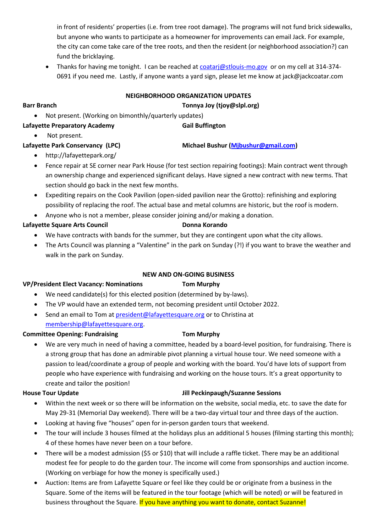in front of residents' properties (i.e. from tree root damage). The programs will not fund brick sidewalks, but anyone who wants to participate as a homeowner for improvements can email Jack. For example, the city can come take care of the tree roots, and then the resident (or neighborhood association?) can fund the bricklaying.

• Thanks for having me tonight. I can be reached a[t coatarj@stlouis-mo.gov](mailto:coatarj@stlouis-mo.gov) or on my cell at 314-374- 0691 if you need me. Lastly, if anyone wants a yard sign, please let me know at jack@jackcoatar.com

# **NEIGHBORHOOD ORGANIZATION UPDATES**

**Barr Branch Tonnya Joy (tjoy@slpl.org)**

• Not present. (Working on bimonthly/quarterly updates)

# Lafayette Preparatory Academy **Gail Buffington**

• Not present.

# **Lafayette Park Conservancy (LPC) Michael Bushur [\(Mjbushur@gmail.com\)](mailto:Mjbushur@gmail.com)**

- http://lafayettepark.org/
- Fence repair at SE corner near Park House (for test section repairing footings): Main contract went through an ownership change and experienced significant delays. Have signed a new contract with new terms. That section should go back in the next few months.
- Expediting repairs on the Cook Pavilion (open-sided pavilion near the Grotto): refinishing and exploring possibility of replacing the roof. The actual base and metal columns are historic, but the roof is modern.
- Anyone who is not a member, please consider joining and/or making a donation.

# Lafayette Square Arts Council **Donna Korando**

- We have contracts with bands for the summer, but they are contingent upon what the city allows.
- The Arts Council was planning a "Valentine" in the park on Sunday (?!) if you want to brave the weather and walk in the park on Sunday.

# **NEW AND ON-GOING BUSINESS**

# **VP/President Elect Vacancy: Nominations Tom Murphy**

- We need candidate(s) for this elected position (determined by by-laws).
- The VP would have an extended term, not becoming president until October 2022.
- Send an email to Tom at [president@lafayettesquare.org](mailto:president@lafayettesquare.org) or to Christina at [membership@lafayettesquare.org.](mailto:membership@lafayettesquare.org)

# **Committee Opening: Fundraising Tom Murphy**

• We are very much in need of having a committee, headed by a board-level position, for fundraising. There is a strong group that has done an admirable pivot planning a virtual house tour. We need someone with a passion to lead/coordinate a group of people and working with the board. You'd have lots of support from people who have experience with fundraising and working on the house tours. It's a great opportunity to create and tailor the position!

# **House Tour Update Jill Peckinpaugh/Suzanne Sessions**

- Within the next week or so there will be information on the website, social media, etc. to save the date for May 29-31 (Memorial Day weekend). There will be a two-day virtual tour and three days of the auction.
- Looking at having five "houses" open for in-person garden tours that weekend.
- The tour will include 3 houses filmed at the holidays plus an additional 5 houses (filming starting this month); 4 of these homes have never been on a tour before.
- There will be a modest admission (\$5 or \$10) that will include a raffle ticket. There may be an additional modest fee for people to do the garden tour. The income will come from sponsorships and auction income. (Working on verbiage for how the money is specifically used.)
- Auction: Items are from Lafayette Square or feel like they could be or originate from a business in the Square. Some of the items will be featured in the tour footage (which will be noted) or will be featured in business throughout the Square. If you have anything you want to donate, contact Suzanne!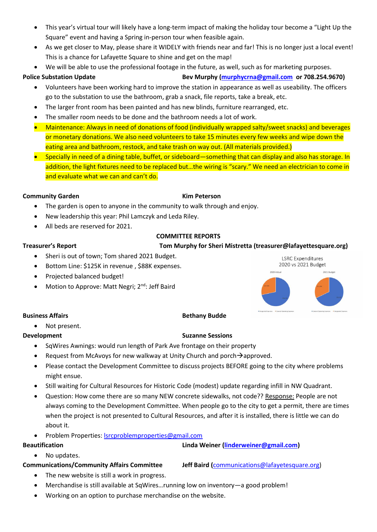- This year's virtual tour will likely have a long-term impact of making the holiday tour become a "Light Up the Square" event and having a Spring in-person tour when feasible again.
- As we get closer to May, please share it WIDELY with friends near and far! This is no longer just a local event! This is a chance for Lafayette Square to shine and get on the map!
- We will be able to use the professional footage in the future, as well, such as for marketing purposes.

- **Police Substation Update Bev Murphy [\(murphycrna@gmail.com](mailto:murphycrna@gmail.com) or 708.254.9670)**
	- Volunteers have been working hard to improve the station in appearance as well as useability. The officers go to the substation to use the bathroom, grab a snack, file reports, take a break, etc.
	- The larger front room has been painted and has new blinds, furniture rearranged, etc.
	- The smaller room needs to be done and the bathroom needs a lot of work.
	- Maintenance: Always in need of donations of food (individually wrapped salty/sweet snacks) and beverages or monetary donations. We also need volunteers to take 15 minutes every few weeks and wipe down the eating area and bathroom, restock, and take trash on way out. (All materials provided.)
	- Specially in need of a dining table, buffet, or sideboard—something that can display and also has storage. In addition, the light fixtures need to be replaced but…the wiring is "scary." We need an electrician to come in and evaluate what we can and can't do.

### **Community Garden Kim Peterson**

- The garden is open to anyone in the community to walk through and enjoy.
- New leadership this year: Phil Lamczyk and Leda Riley.
- All beds are reserved for 2021.

## **COMMITTEE REPORTS**

## **Treasurer's Report Tom Murphy for Sheri Mistretta (treasurer@lafayettesquare.org)**

- Sheri is out of town; Tom shared 2021 Budget.
- Bottom Line: \$125K in revenue , \$88K expenses.
- Projected balanced budget!
- Motion to Approve: Matt Negri; 2<sup>nd</sup>: Jeff Baird



### **Business Affairs Business Affairs Business Affairs Business Affairs Business Affairs**

# • Not present.

### **Development** Suzanne Sessions **Suzanne Sessions**

- SqWires Awnings: would run length of Park Ave frontage on their property
- Request from McAvoys for new walkway at Unity Church and porch → approved.
- Please contact the Development Committee to discuss projects BEFORE going to the city where problems might ensue.
- Still waiting for Cultural Resources for Historic Code (modest) update regarding infill in NW Quadrant.
- Question: How come there are so many NEW concrete sidewalks, not code?? Response: People are not always coming to the Development Committee. When people go to the city to get a permit, there are times when the project is not presented to Cultural Resources, and after it is installed, there is little we can do about it.
- Problem Properties: **Isrcproblemproperties@gmail.com**

# **Beautification Linda Weiner [\(linderweiner@gmail.com\)](mailto:linderweiner@gmail.com)**

• No updates.

**Communications/Community Affairs Committee Jeff Baird (**[communications@lafayetesquare.org\)](mailto:communications@lafayetesquare.org)

- The new website is still a work in progress.
- Merchandise is still available at SqWires…running low on inventory—a good problem!
- Working on an option to purchase merchandise on the website.